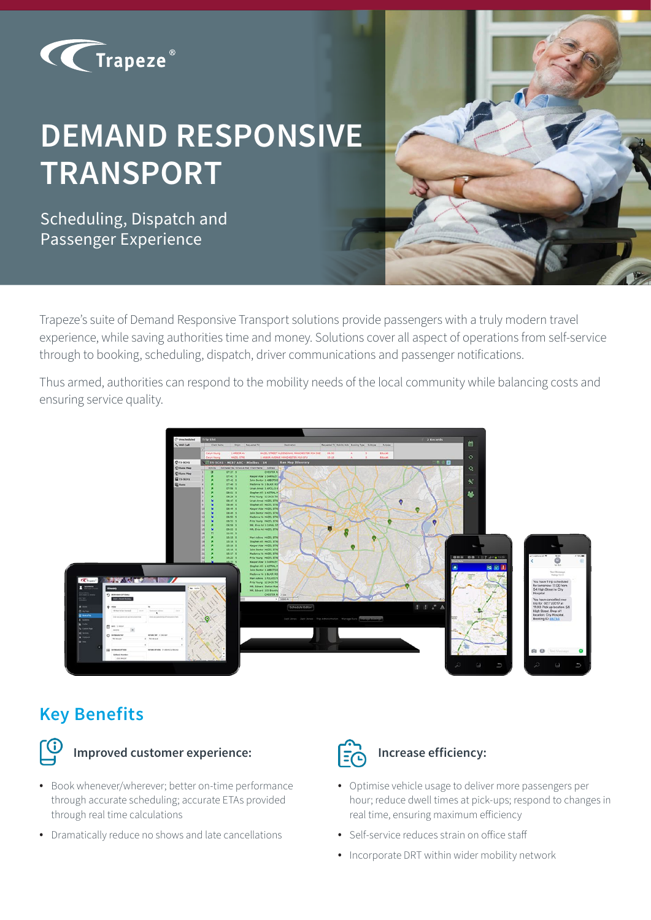

# **DEMAND RESPONSIVE TRANSPORT**

Scheduling, Dispatch and Passenger Experience

Trapeze's suite of Demand Responsive Transport solutions provide passengers with a truly modern travel experience, while saving authorities time and money. Solutions cover all aspect of operations from self-service through to booking, scheduling, dispatch, driver communications and passenger notifications.

Thus armed, authorities can respond to the mobility needs of the local community while balancing costs and ensuring service quality.



# **Key Benefits**



## **Improved customer experience:**

- Book whenever/wherever; better on-time performance through accurate scheduling; accurate ETAs provided through real time calculations
- Dramatically reduce no shows and late cancellations



## **Increase efficiency:**

- Optimise vehicle usage to deliver more passengers per hour; reduce dwell times at pick-ups; respond to changes in real time, ensuring maximum efficiency
- Self-service reduces strain on office staff
- Incorporate DRT within wider mobility network